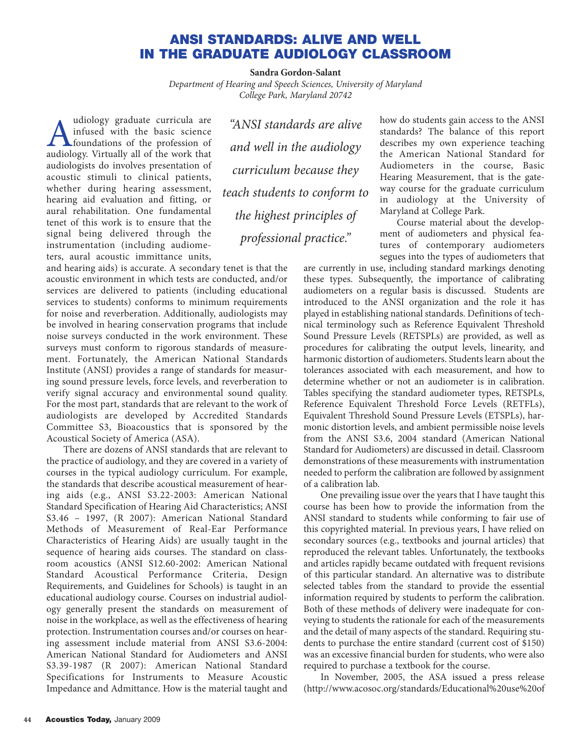## **ANSI STANDARDS: ALIVE AND WELL IN THE GRADUATE AUDIOLOGY CLASSROOM**

**Sandra Gordon-Salant**

*Department of Hearing and Speech Sciences, University of Maryland College Park, Maryland 20742*

Mudiology graduate curricula are<br>
infused with the basic science<br>
foundations of the profession of<br>
audiology Virtually all of the work that infused with the basic science  $\blacktriangle$   $\blacktriangle$  foundations of the profession of audiology. Virtually all of the work that audiologists do involves presentation of acoustic stimuli to clinical patients, whether during hearing assessment, hearing aid evaluation and fitting, or aural rehabilitation. One fundamental tenet of this work is to ensure that the signal being delivered through the instrumentation (including audiometers, aural acoustic immittance units,

*"ANSI standards are alive and well in the audiology curriculum because they teach students to conform to the highest principles of professional practice."*

and hearing aids) is accurate. A secondary tenet is that the acoustic environment in which tests are conducted, and/or services are delivered to patients (including educational services to students) conforms to minimum requirements for noise and reverberation. Additionally, audiologists may be involved in hearing conservation programs that include noise surveys conducted in the work environment. These surveys must conform to rigorous standards of measurement. Fortunately, the American National Standards Institute (ANSI) provides a range of standards for measuring sound pressure levels, force levels, and reverberation to verify signal accuracy and environmental sound quality. For the most part, standards that are relevant to the work of audiologists are developed by Accredited Standards Committee S3, Bioacoustics that is sponsored by the Acoustical Society of America (ASA).

There are dozens of ANSI standards that are relevant to the practice of audiology, and they are covered in a variety of courses in the typical audiology curriculum. For example, the standards that describe acoustical measurement of hearing aids (e.g., ANSI S3.22-2003: American National Standard Specification of Hearing Aid Characteristics; ANSI S3.46 – 1997, (R 2007): American National Standard Methods of Measurement of Real-Ear Performance Characteristics of Hearing Aids) are usually taught in the sequence of hearing aids courses. The standard on classroom acoustics (ANSI S12.60-2002: American National Standard Acoustical Performance Criteria, Design Requirements, and Guidelines for Schools) is taught in an educational audiology course. Courses on industrial audiology generally present the standards on measurement of noise in the workplace, as well as the effectiveness of hearing protection. Instrumentation courses and/or courses on hearing assessment include material from ANSI S3.6-2004: American National Standard for Audiometers and ANSI S3.39-1987 (R 2007): American National Standard Specifications for Instruments to Measure Acoustic Impedance and Admittance. How is the material taught and

how do students gain access to the ANSI standards? The balance of this report describes my own experience teaching the American National Standard for Audiometers in the course, Basic Hearing Measurement, that is the gateway course for the graduate curriculum in audiology at the University of Maryland at College Park.

Course material about the development of audiometers and physical features of contemporary audiometers segues into the types of audiometers that

are currently in use, including standard markings denoting these types. Subsequently, the importance of calibrating audiometers on a regular basis is discussed. Students are introduced to the ANSI organization and the role it has played in establishing national standards. Definitions of technical terminology such as Reference Equivalent Threshold Sound Pressure Levels (RETSPLs) are provided, as well as procedures for calibrating the output levels, linearity, and harmonic distortion of audiometers. Students learn about the tolerances associated with each measurement, and how to determine whether or not an audiometer is in calibration. Tables specifying the standard audiometer types, RETSPLs, Reference Equivalent Threshold Force Levels (RETFLs), Equivalent Threshold Sound Pressure Levels (ETSPLs), harmonic distortion levels, and ambient permissible noise levels from the ANSI S3.6, 2004 standard (American National Standard for Audiometers) are discussed in detail. Classroom demonstrations of these measurements with instrumentation needed to perform the calibration are followed by assignment of a calibration lab.

One prevailing issue over the years that I have taught this course has been how to provide the information from the ANSI standard to students while conforming to fair use of this copyrighted material. In previous years, I have relied on secondary sources (e.g., textbooks and journal articles) that reproduced the relevant tables. Unfortunately, the textbooks and articles rapidly became outdated with frequent revisions of this particular standard. An alternative was to distribute selected tables from the standard to provide the essential information required by students to perform the calibration. Both of these methods of delivery were inadequate for conveying to students the rationale for each of the measurements and the detail of many aspects of the standard. Requiring students to purchase the entire standard (current cost of \$150) was an excessive financial burden for students, who were also required to purchase a textbook for the course.

In November, 2005, the ASA issued a press release (http://www.acosoc.org/standards/Educational%20use%20of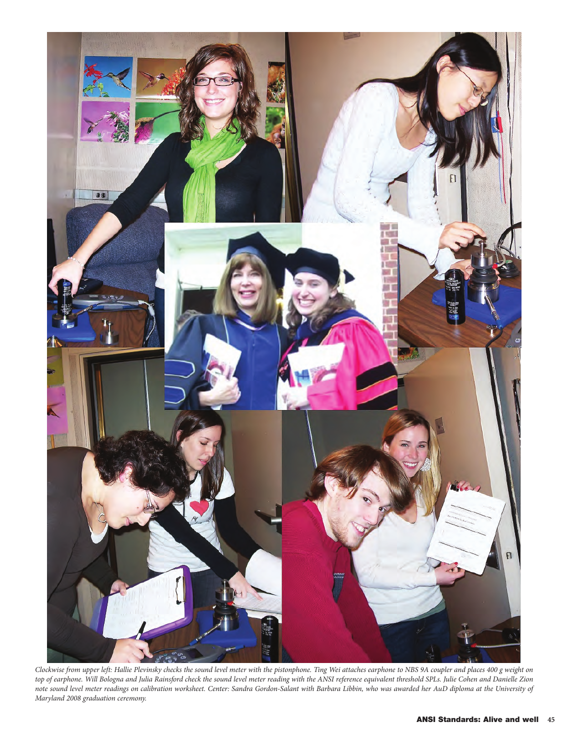

*Clockwise from upper left: Hallie Plevinsky checks the sound level meter with the pistonphone. Ting Wei attaches earphone to NBS 9A coupler and places 400 g weight on top of earphone. Will Bologna and Julia Rainsford check the sound level meter reading with the ANSI reference equivalent threshold SPLs. Julie Cohen and Danielle Zion note sound level meter readings on calibration worksheet. Center: Sandra Gordon-Salant with Barbara Libbin, who was awarded her AuD diploma at the University of Maryland 2008 graduation ceremony.*